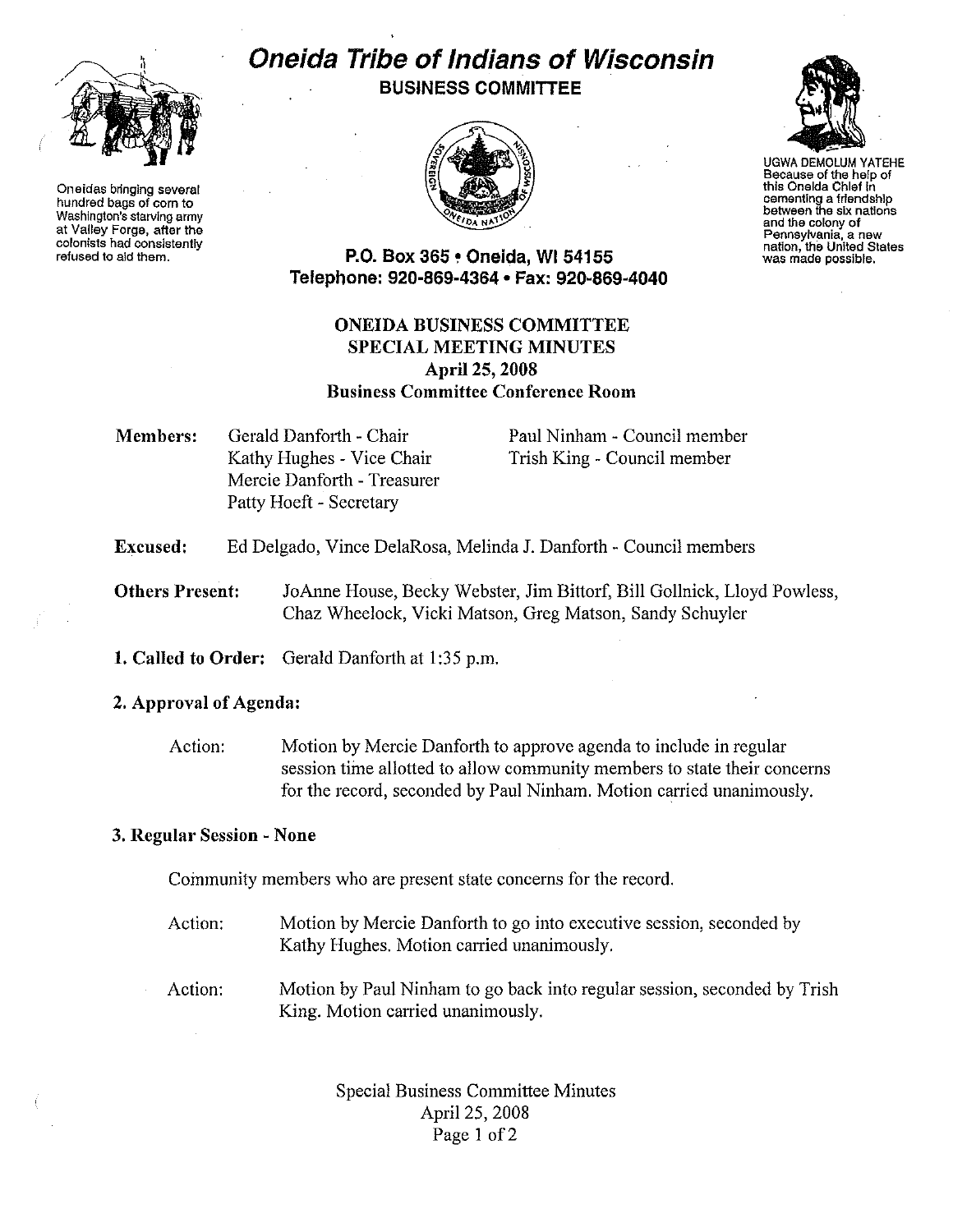

Oneidas bringing several hundred bags of corn to Washington's starving army at Valley Forge, after the colonists had consistently refused to aid them.

# Oneida Tribe of Indians of Wisconsin BUSINESS COMMITTEE





UGWA DEMOLUM YATEHE Because of the help of this Oneida Chief In cementing a friendship between the six nations and the colony of Pennsylvania, a new was made possible.

### P.O. Box 365 • Oneida, WI 54155 Telephone: 920-869-4364 • Fax: 920-869-4040

## ONEIDA BUSINESS COMMITTEE SPECIAL MEETING MINUTES April25, 2008 Business Committee Conference Room

Members: Gerald Danforth - Chair Kathy Hughes - Vice Chair Mercie Danforth - Treasurer Patty Hoeft - Secretary

Paul Ninham - Council member Trish King - Council member

#### Excused: Ed Delgado, Vince DelaRosa, Melinda J. Danforth - Council members

Others Present: JoAnne House, Becky Webster, Jim Bittorf, Bill Gollnick, Lloyd Powless, Chaz Wheelock, Vicki Matson, Greg Matson, Sandy Schuyler

1. Called to Order: Gerald Danforth at 1:35 p.m.

2. Approval of Agenda:

Action: Motion by Mercie Danforth to approve agenda to include in regular session time allotted to allow community members to state their concerns for the record, seconded by Paul Ninham. Motion carried unanimously.

### 3. Regular Session - None

Community members who are present state concerns for the record.

- Action: Motion by Mercie Danforth to go into executive session, seconded by Kathy Hughes. Motion carried unanimously.
- Action: Motion by Paul Ninham to go back into regular session, seconded by Trish King. Motion carried unanimously.

Special Business Committee Minutes April 25, 2008 Page 1 of 2